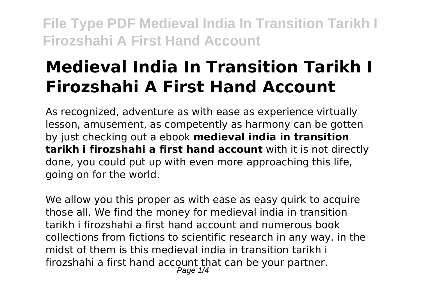# **Medieval India In Transition Tarikh I Firozshahi A First Hand Account**

As recognized, adventure as with ease as experience virtually lesson, amusement, as competently as harmony can be gotten by just checking out a ebook **medieval india in transition tarikh i firozshahi a first hand account** with it is not directly done, you could put up with even more approaching this life, going on for the world.

We allow you this proper as with ease as easy quirk to acquire those all. We find the money for medieval india in transition tarikh i firozshahi a first hand account and numerous book collections from fictions to scientific research in any way. in the midst of them is this medieval india in transition tarikh i firozshahi a first hand account that can be your partner. Page  $1/4$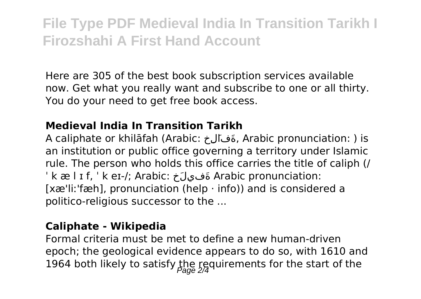Here are 305 of the best book subscription services available now. Get what you really want and subscribe to one or all thirty. You do your need to get free book access.

### **Medieval India In Transition Tarikh**

A caliphate or khilāfah (Arabic: خِلَفاَة, Arabic pronunciation: ) is an institution or public office governing a territory under Islamic rule. The person who holds this office carries the title of caliph (/ ˈ k æ l ɪ f, ˈ k eɪ-/; Arabic: خَلِفيَة Arabic pronunciation: [xæ'liː'fæh], pronunciation (help  $\cdot$  info)) and is considered a politico-religious successor to the ...

#### **Caliphate - Wikipedia**

Formal criteria must be met to define a new human-driven epoch; the geological evidence appears to do so, with 1610 and 1964 both likely to satisfy the requirements for the start of the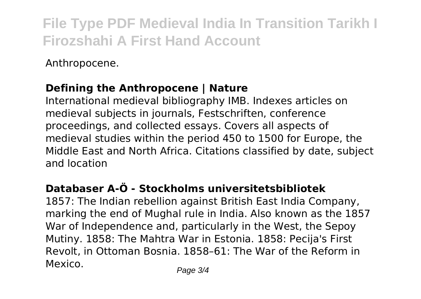Anthropocene.

## **Defining the Anthropocene | Nature**

International medieval bibliography IMB. Indexes articles on medieval subjects in journals, Festschriften, conference proceedings, and collected essays. Covers all aspects of medieval studies within the period 450 to 1500 for Europe, the Middle East and North Africa. Citations classified by date, subject and location

# **Databaser A-Ö - Stockholms universitetsbibliotek**

1857: The Indian rebellion against British East India Company, marking the end of Mughal rule in India. Also known as the 1857 War of Independence and, particularly in the West, the Sepoy Mutiny. 1858: The Mahtra War in Estonia. 1858: Pecija's First Revolt, in Ottoman Bosnia. 1858–61: The War of the Reform in Mexico. Page 3/4